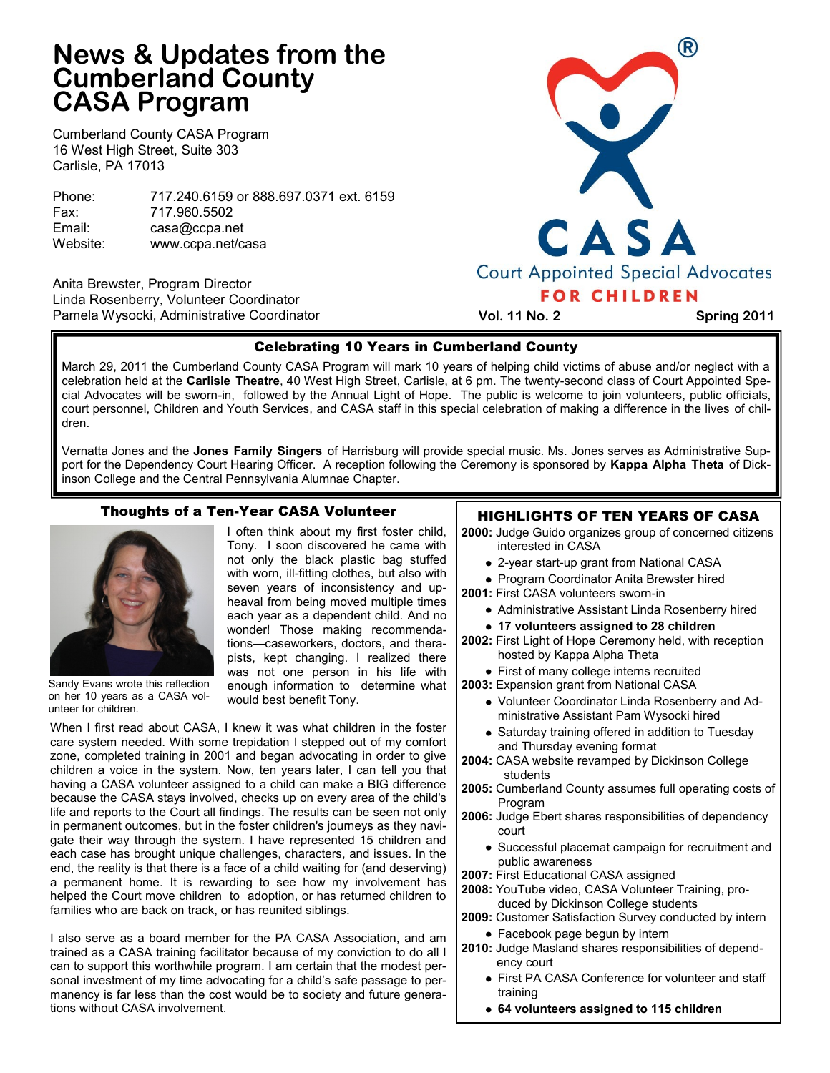# **News & Updates from the Cumberland County CASA Program**

Cumberland County CASA Program 16 West High Street, Suite 303 Carlisle, PA 17013

Phone: 717.240.6159 or 888.697.0371 ext. 6159 Fax: 717.960.5502 Email: casa@ccpa.net Website: www.ccpa.net/casa

Anita Brewster, Program Director Linda Rosenberry, Volunteer Coordinator Pamela Wysocki, Administrative Coordinator



 **Vol. 11 No. 2 Spring 2011**

# Celebrating 10 Years in Cumberland County

March 29, 2011 the Cumberland County CASA Program will mark 10 years of helping child victims of abuse and/or neglect with a celebration held at the **Carlisle Theatre**, 40 West High Street, Carlisle, at 6 pm. The twenty-second class of Court Appointed Special Advocates will be sworn-in, followed by the Annual Light of Hope. The public is welcome to join volunteers, public officials, court personnel, Children and Youth Services, and CASA staff in this special celebration of making a difference in the lives of children.

Vernatta Jones and the **Jones Family Singers** of Harrisburg will provide special music. Ms. Jones serves as Administrative Support for the Dependency Court Hearing Officer. A reception following the Ceremony is sponsored by **Kappa Alpha Theta** of Dickinson College and the Central Pennsylvania Alumnae Chapter.

# Thoughts of a Ten-Year CASA Volunteer



Sandy Evans wrote this reflection on her 10 years as a CASA volunteer for children.

I often think about my first foster child, Tony. I soon discovered he came with not only the black plastic bag stuffed with worn, ill-fitting clothes, but also with seven years of inconsistency and upheaval from being moved multiple times each year as a dependent child. And no wonder! Those making recommendations—caseworkers, doctors, and therapists, kept changing. I realized there was not one person in his life with enough information to determine what would best benefit Tony.

When I first read about CASA, I knew it was what children in the foster care system needed. With some trepidation I stepped out of my comfort zone, completed training in 2001 and began advocating in order to give children a voice in the system. Now, ten years later, I can tell you that having a CASA volunteer assigned to a child can make a BIG difference because the CASA stays involved, checks up on every area of the child's life and reports to the Court all findings. The results can be seen not only in permanent outcomes, but in the foster children's journeys as they navigate their way through the system. I have represented 15 children and each case has brought unique challenges, characters, and issues. In the end, the reality is that there is a face of a child waiting for (and deserving) a permanent home. It is rewarding to see how my involvement has helped the Court move children to adoption, or has returned children to families who are back on track, or has reunited siblings.

I also serve as a board member for the PA CASA Association, and am trained as a CASA training facilitator because of my conviction to do all I can to support this worthwhile program. I am certain that the modest personal investment of my time advocating for a child's safe passage to permanency is far less than the cost would be to society and future generations without CASA involvement.

# HIGHLIGHTS OF TEN YEARS OF CASA

- **2000:** Judge Guido organizes group of concerned citizens interested in CASA
	- 2-year start-up grant from National CASA
	- Program Coordinator Anita Brewster hired
- **2001:** First CASA volunteers sworn-in
	- Administrative Assistant Linda Rosenberry hired
	- **17 volunteers assigned to 28 children**
- **2002:** First Light of Hope Ceremony held, with reception hosted by Kappa Alpha Theta
- First of many college interns recruited
- **2003:** Expansion grant from National CASA
	- Volunteer Coordinator Linda Rosenberry and Administrative Assistant Pam Wysocki hired
	- Saturday training offered in addition to Tuesday and Thursday evening format
- **2004:** CASA website revamped by Dickinson College students
- **2005:** Cumberland County assumes full operating costs of Program
- **2006:** Judge Ebert shares responsibilities of dependency court
	- Successful placemat campaign for recruitment and public awareness
- **2007:** First Educational CASA assigned
- **2008:** YouTube video, CASA Volunteer Training, produced by Dickinson College students
- **2009:** Customer Satisfaction Survey conducted by intern
- Facebook page begun by intern
- **2010:** Judge Masland shares responsibilities of dependency court
	- First PA CASA Conference for volunteer and staff training
	- **64 volunteers assigned to 115 children**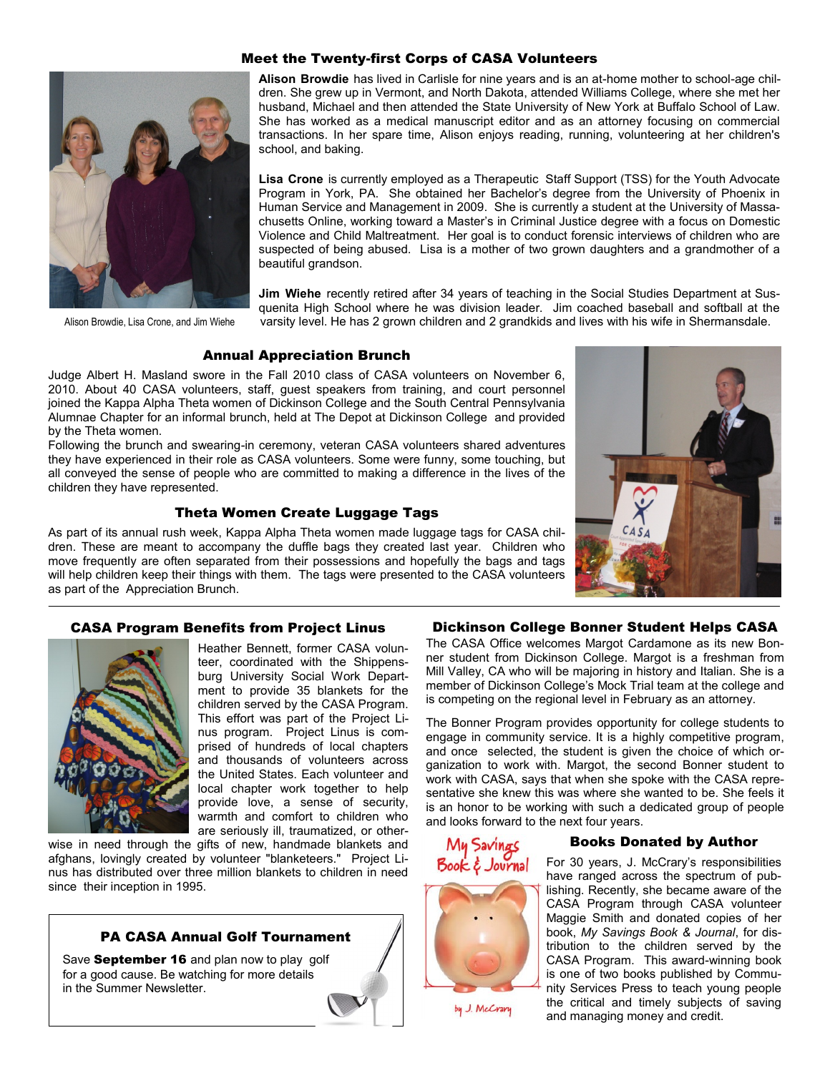## Meet the Twenty-first Corps of CASA Volunteers



**Alison Browdie** has lived in Carlisle for nine years and is an at-home mother to school-age children. She grew up in Vermont, and North Dakota, attended Williams College, where she met her husband, Michael and then attended the State University of New York at Buffalo School of Law. She has worked as a medical manuscript editor and as an attorney focusing on commercial transactions. In her spare time, Alison enjoys reading, running, volunteering at her children's school, and baking.

**Lisa Crone** is currently employed as a Therapeutic Staff Support (TSS) for the Youth Advocate Program in York, PA. She obtained her Bachelor's degree from the University of Phoenix in Human Service and Management in 2009. She is currently a student at the University of Massachusetts Online, working toward a Master's in Criminal Justice degree with a focus on Domestic Violence and Child Maltreatment. Her goal is to conduct forensic interviews of children who are suspected of being abused. Lisa is a mother of two grown daughters and a grandmother of a beautiful grandson.

**Jim Wiehe** recently retired after 34 years of teaching in the Social Studies Department at Susquenita High School where he was division leader. Jim coached baseball and softball at the Alison Browdie, Lisa Crone, and Jim Wiehe varsity level. He has 2 grown children and 2 grandkids and lives with his wife in Shermansdale.

## Annual Appreciation Brunch

Judge Albert H. Masland swore in the Fall 2010 class of CASA volunteers on November 6, 2010. About 40 CASA volunteers, staff, guest speakers from training, and court personnel joined the Kappa Alpha Theta women of Dickinson College and the South Central Pennsylvania Alumnae Chapter for an informal brunch, held at The Depot at Dickinson College and provided by the Theta women.

Following the brunch and swearing-in ceremony, veteran CASA volunteers shared adventures they have experienced in their role as CASA volunteers. Some were funny, some touching, but all conveyed the sense of people who are committed to making a difference in the lives of the children they have represented.

# Theta Women Create Luggage Tags

As part of its annual rush week, Kappa Alpha Theta women made luggage tags for CASA children. These are meant to accompany the duffle bags they created last year. Children who move frequently are often separated from their possessions and hopefully the bags and tags will help children keep their things with them. The tags were presented to the CASA volunteers as part of the Appreciation Brunch.



### CASA Program Benefits from Project Linus



Heather Bennett, former CASA volunteer, coordinated with the Shippensburg University Social Work Department to provide 35 blankets for the children served by the CASA Program. This effort was part of the Project Linus program. Project Linus is comprised of hundreds of local chapters and thousands of volunteers across the United States. Each volunteer and local chapter work together to help provide love, a sense of security, warmth and comfort to children who are seriously ill, traumatized, or other-

wise in need through the gifts of new, handmade blankets and afghans, lovingly created by volunteer "blanketeers." Project Linus has distributed over three million blankets to children in need since their inception in 1995.

# PA CASA Annual Golf Tournament

Save September 16 and plan now to play golf for a good cause. Be watching for more details in the Summer Newsletter.



The CASA Office welcomes Margot Cardamone as its new Bonner student from Dickinson College. Margot is a freshman from Mill Valley, CA who will be majoring in history and Italian. She is a member of Dickinson College's Mock Trial team at the college and is competing on the regional level in February as an attorney.

The Bonner Program provides opportunity for college students to engage in community service. It is a highly competitive program, and once selected, the student is given the choice of which organization to work with. Margot, the second Bonner student to work with CASA, says that when she spoke with the CASA representative she knew this was where she wanted to be. She feels it is an honor to be working with such a dedicated group of people and looks forward to the next four years.



by J. McCrary

# Books Donated by Author

For 30 years, J. McCrary's responsibilities have ranged across the spectrum of publishing. Recently, she became aware of the CASA Program through CASA volunteer Maggie Smith and donated copies of her book, *My Savings Book & Journal*, for distribution to the children served by the CASA Program. This award-winning book is one of two books published by Community Services Press to teach young people the critical and timely subjects of saving and managing money and credit.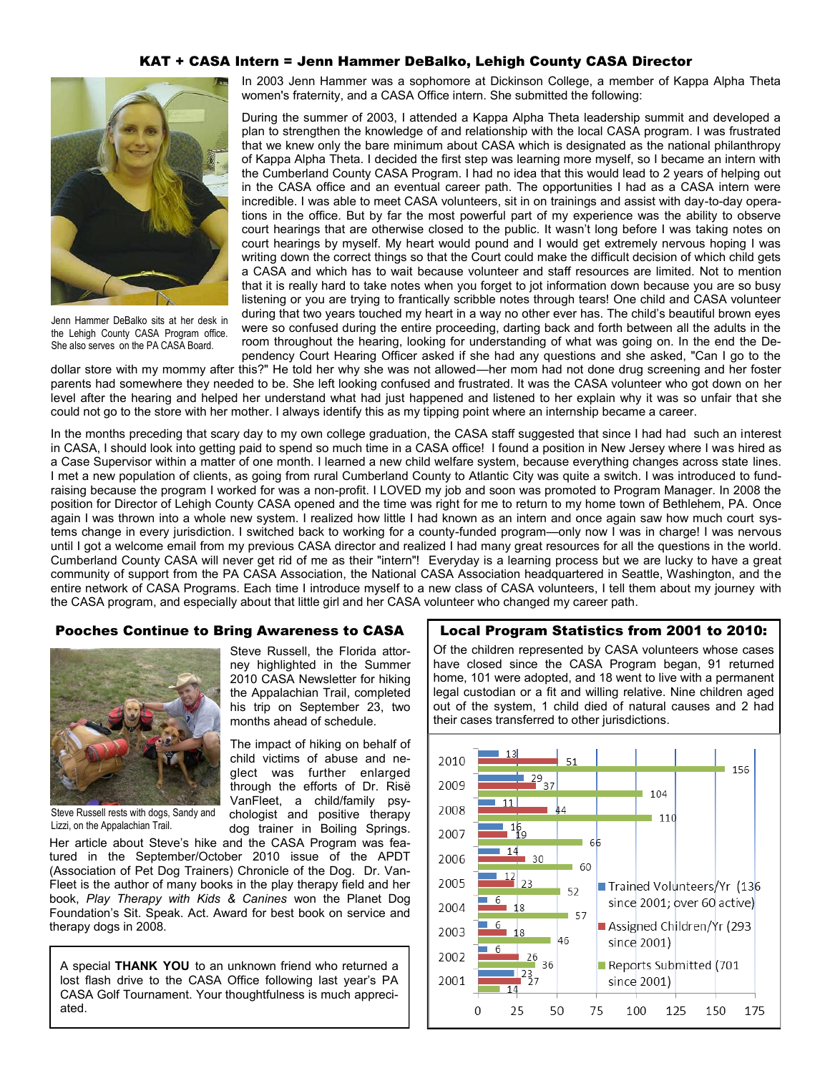#### KAT + CASA Intern = Jenn Hammer DeBalko, Lehigh County CASA Director



Jenn Hammer DeBalko sits at her desk in the Lehigh County CASA Program office. She also serves on the PA CASA Board.

In 2003 Jenn Hammer was a sophomore at Dickinson College, a member of Kappa Alpha Theta women's fraternity, and a CASA Office intern. She submitted the following:

During the summer of 2003, I attended a Kappa Alpha Theta leadership summit and developed a plan to strengthen the knowledge of and relationship with the local CASA program. I was frustrated that we knew only the bare minimum about CASA which is designated as the national philanthropy of Kappa Alpha Theta. I decided the first step was learning more myself, so I became an intern with the Cumberland County CASA Program. I had no idea that this would lead to 2 years of helping out in the CASA office and an eventual career path. The opportunities I had as a CASA intern were incredible. I was able to meet CASA volunteers, sit in on trainings and assist with day-to-day operations in the office. But by far the most powerful part of my experience was the ability to observe court hearings that are otherwise closed to the public. It wasn't long before I was taking notes on court hearings by myself. My heart would pound and I would get extremely nervous hoping I was writing down the correct things so that the Court could make the difficult decision of which child gets a CASA and which has to wait because volunteer and staff resources are limited. Not to mention that it is really hard to take notes when you forget to jot information down because you are so busy listening or you are trying to frantically scribble notes through tears! One child and CASA volunteer during that two years touched my heart in a way no other ever has. The child's beautiful brown eyes were so confused during the entire proceeding, darting back and forth between all the adults in the room throughout the hearing, looking for understanding of what was going on. In the end the Dependency Court Hearing Officer asked if she had any questions and she asked, "Can I go to the

dollar store with my mommy after this?" He told her why she was not allowed—her mom had not done drug screening and her foster parents had somewhere they needed to be. She left looking confused and frustrated. It was the CASA volunteer who got down on her level after the hearing and helped her understand what had just happened and listened to her explain why it was so unfair that she could not go to the store with her mother. I always identify this as my tipping point where an internship became a career.

In the months preceding that scary day to my own college graduation, the CASA staff suggested that since I had had such an interest in CASA, I should look into getting paid to spend so much time in a CASA office! I found a position in New Jersey where I was hired as a Case Supervisor within a matter of one month. I learned a new child welfare system, because everything changes across state lines. I met a new population of clients, as going from rural Cumberland County to Atlantic City was quite a switch. I was introduced to fundraising because the program I worked for was a non-profit. I LOVED my job and soon was promoted to Program Manager. In 2008 the position for Director of Lehigh County CASA opened and the time was right for me to return to my home town of Bethlehem, PA. Once again I was thrown into a whole new system. I realized how little I had known as an intern and once again saw how much court systems change in every jurisdiction. I switched back to working for a county-funded program—only now I was in charge! I was nervous until I got a welcome email from my previous CASA director and realized I had many great resources for all the questions in the world. Cumberland County CASA will never get rid of me as their "intern"! Everyday is a learning process but we are lucky to have a great community of support from the PA CASA Association, the National CASA Association headquartered in Seattle, Washington, and the entire network of CASA Programs. Each time I introduce myself to a new class of CASA volunteers, I tell them about my journey with the CASA program, and especially about that little girl and her CASA volunteer who changed my career path.

#### Pooches Continue to Bring Awareness to CASA

Steve Russell, the Florida attorney highlighted in the Summer 2010 CASA Newsletter for hiking the Appalachian Trail, completed his trip on September 23, two months ahead of schedule.

The impact of hiking on behalf of child victims of abuse and neglect was further enlarged through the efforts of Dr. Risë VanFleet, a child/family psychologist and positive therapy dog trainer in Boiling Springs.



Steve Russell rests with dogs, Sandy and Lizzi, on the Appalachian Trail.

Her article about Steve's hike and the CASA Program was featured in the September/October 2010 issue of the APDT (Association of Pet Dog Trainers) Chronicle of the Dog. Dr. Van-Fleet is the author of many books in the play therapy field and her book, *Play Therapy with Kids & Canines* won the Planet Dog Foundation's Sit. Speak. Act. Award for best book on service and therapy dogs in 2008.

A special **THANK YOU** to an unknown friend who returned a lost flash drive to the CASA Office following last year's PA CASA Golf Tournament. Your thoughtfulness is much appreciated.

#### Local Program Statistics from 2001 to 2010:

Of the children represented by CASA volunteers whose cases have closed since the CASA Program began, 91 returned home, 101 were adopted, and 18 went to live with a permanent legal custodian or a fit and willing relative. Nine children aged out of the system, 1 child died of natural causes and 2 had their cases transferred to other jurisdictions.